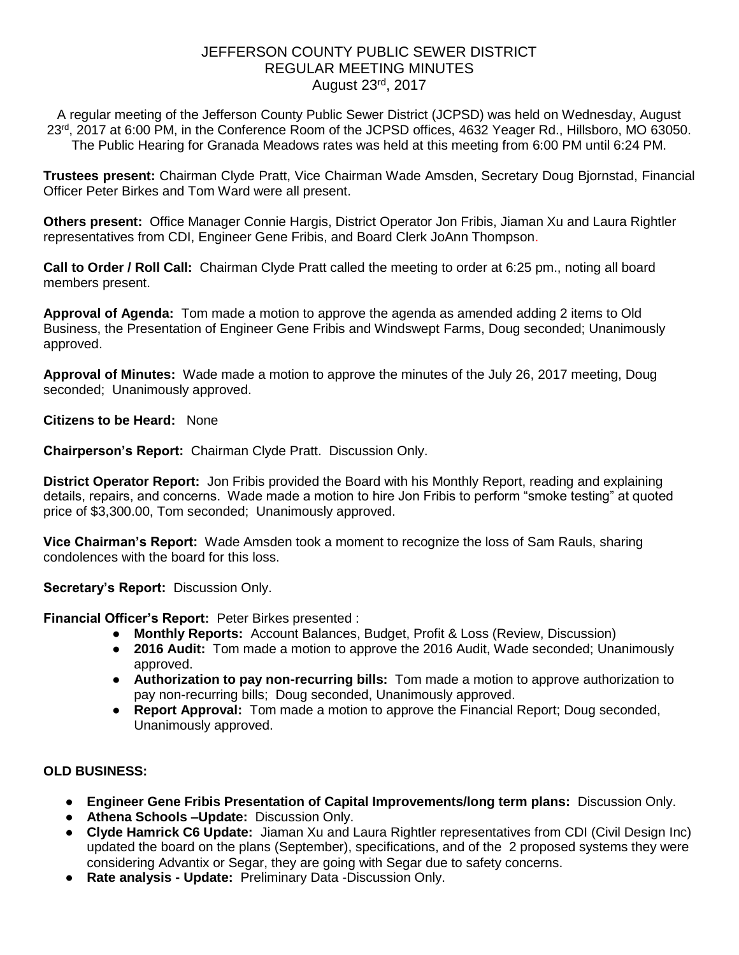# JEFFERSON COUNTY PUBLIC SEWER DISTRICT REGULAR MEETING MINUTES August 23rd, 2017

A regular meeting of the Jefferson County Public Sewer District (JCPSD) was held on Wednesday, August 23<sup>rd</sup>, 2017 at 6:00 PM, in the Conference Room of the JCPSD offices, 4632 Yeager Rd., Hillsboro, MO 63050. The Public Hearing for Granada Meadows rates was held at this meeting from 6:00 PM until 6:24 PM.

**Trustees present:** Chairman Clyde Pratt, Vice Chairman Wade Amsden, Secretary Doug Bjornstad, Financial Officer Peter Birkes and Tom Ward were all present.

**Others present:** Office Manager Connie Hargis, District Operator Jon Fribis, Jiaman Xu and Laura Rightler representatives from CDI, Engineer Gene Fribis, and Board Clerk JoAnn Thompson.

**Call to Order / Roll Call:** Chairman Clyde Pratt called the meeting to order at 6:25 pm., noting all board members present.

**Approval of Agenda:** Tom made a motion to approve the agenda as amended adding 2 items to Old Business, the Presentation of Engineer Gene Fribis and Windswept Farms, Doug seconded; Unanimously approved.

**Approval of Minutes:** Wade made a motion to approve the minutes of the July 26, 2017 meeting, Doug seconded; Unanimously approved.

**Citizens to be Heard:** None

**Chairperson's Report:** Chairman Clyde Pratt. Discussion Only.

**District Operator Report:** Jon Fribis provided the Board with his Monthly Report, reading and explaining details, repairs, and concerns. Wade made a motion to hire Jon Fribis to perform "smoke testing" at quoted price of \$3,300.00, Tom seconded; Unanimously approved.

**Vice Chairman's Report:** Wade Amsden took a moment to recognize the loss of Sam Rauls, sharing condolences with the board for this loss.

**Secretary's Report:** Discussion Only.

**Financial Officer's Report:** Peter Birkes presented :

- **Monthly Reports:** Account Balances, Budget, Profit & Loss (Review, Discussion)
- **2016 Audit:** Tom made a motion to approve the 2016 Audit, Wade seconded; Unanimously approved.
- **Authorization to pay non-recurring bills:** Tom made a motion to approve authorization to pay non-recurring bills; Doug seconded, Unanimously approved.
- **Report Approval:** Tom made a motion to approve the Financial Report; Doug seconded, Unanimously approved.

### **OLD BUSINESS:**

- **Engineer Gene Fribis Presentation of Capital Improvements/long term plans:** Discussion Only.
- **Athena Schools –Update:** Discussion Only.
- **Clyde Hamrick C6 Update:** Jiaman Xu and Laura Rightler representatives from CDI (Civil Design Inc) updated the board on the plans (September), specifications, and of the 2 proposed systems they were considering Advantix or Segar, they are going with Segar due to safety concerns.
- **Rate analysis - Update:** Preliminary Data -Discussion Only.